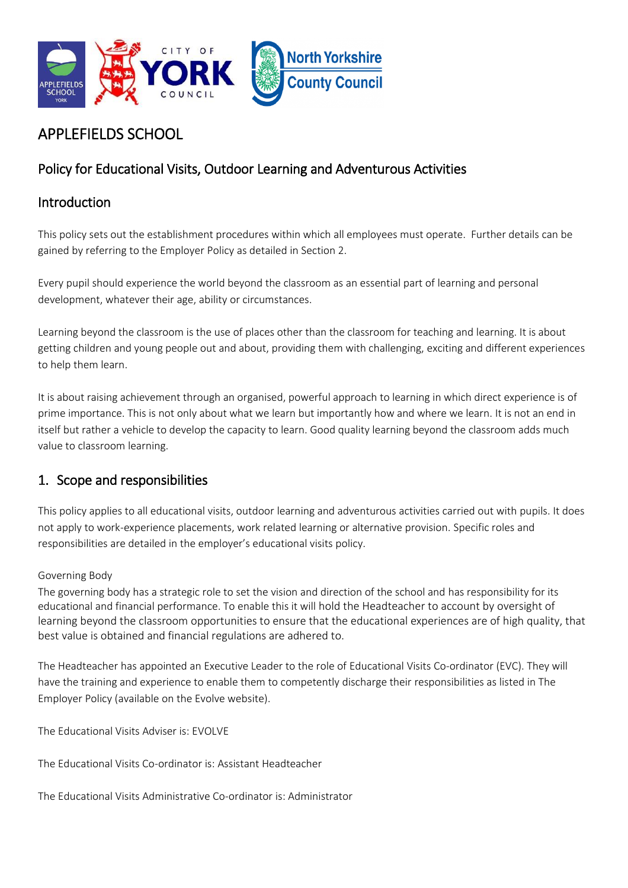

# APPLEFIELDS SCHOOL

# Policy for Educational Visits, Outdoor Learning and Adventurous Activities

### Introduction

This policy sets out the establishment procedures within which all employees must operate. Further details can be gained by referring to the Employer Policy as detailed in Section 2.

Every pupil should experience the world beyond the classroom as an essential part of learning and personal development, whatever their age, ability or circumstances.

Learning beyond the classroom is the use of places other than the classroom for teaching and learning. It is about getting children and young people out and about, providing them with challenging, exciting and different experiences to help them learn.

It is about raising achievement through an organised, powerful approach to learning in which direct experience is of prime importance. This is not only about what we learn but importantly how and where we learn. It is not an end in itself but rather a vehicle to develop the capacity to learn. Good quality learning beyond the classroom adds much value to classroom learning.

# 1. Scope and responsibilities

This policy applies to all educational visits, outdoor learning and adventurous activities carried out with pupils. It does not apply to work-experience placements, work related learning or alternative provision. Specific roles and responsibilities are detailed in the employer's educational visits policy.

#### Governing Body

The governing body has a strategic role to set the vision and direction of the school and has responsibility for its educational and financial performance. To enable this it will hold the Headteacher to account by oversight of learning beyond the classroom opportunities to ensure that the educational experiences are of high quality, that best value is obtained and financial regulations are adhered to.

The Headteacher has appointed an Executive Leader to the role of Educational Visits Co-ordinator (EVC). They will have the training and experience to enable them to competently discharge their responsibilities as listed in The Employer Policy (available on the Evolve website).

The Educational Visits Adviser is: EVOLVE

The Educational Visits Co-ordinator is: Assistant Headteacher

The Educational Visits Administrative Co-ordinator is: Administrator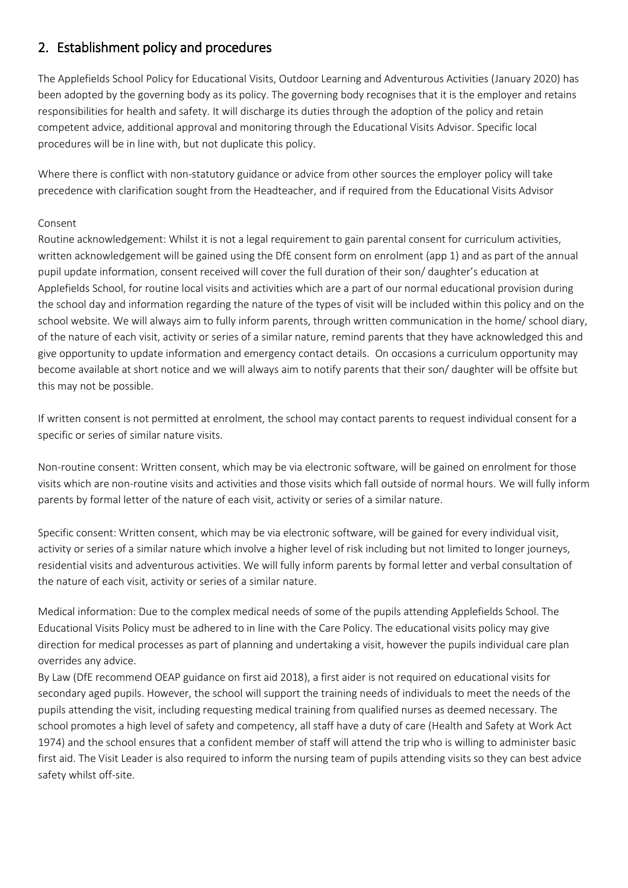# 2. Establishment policy and procedures

The Applefields School Policy for Educational Visits, Outdoor Learning and Adventurous Activities (January 2020) has been adopted by the governing body as its policy. The governing body recognises that it is the employer and retains responsibilities for health and safety. It will discharge its duties through the adoption of the policy and retain competent advice, additional approval and monitoring through the Educational Visits Advisor. Specific local procedures will be in line with, but not duplicate this policy.

Where there is conflict with non-statutory guidance or advice from other sources the employer policy will take precedence with clarification sought from the Headteacher, and if required from the Educational Visits Advisor

#### Consent

Routine acknowledgement: Whilst it is not a legal requirement to gain parental consent for curriculum activities, written acknowledgement will be gained using the DfE consent form on enrolment (app 1) and as part of the annual pupil update information, consent received will cover the full duration of their son/ daughter's education at Applefields School, for routine local visits and activities which are a part of our normal educational provision during the school day and information regarding the nature of the types of visit will be included within this policy and on the school website. We will always aim to fully inform parents, through written communication in the home/ school diary, of the nature of each visit, activity or series of a similar nature, remind parents that they have acknowledged this and give opportunity to update information and emergency contact details. On occasions a curriculum opportunity may become available at short notice and we will always aim to notify parents that their son/ daughter will be offsite but this may not be possible.

If written consent is not permitted at enrolment, the school may contact parents to request individual consent for a specific or series of similar nature visits.

Non-routine consent: Written consent, which may be via electronic software, will be gained on enrolment for those visits which are non-routine visits and activities and those visits which fall outside of normal hours. We will fully inform parents by formal letter of the nature of each visit, activity or series of a similar nature.

Specific consent: Written consent, which may be via electronic software, will be gained for every individual visit, activity or series of a similar nature which involve a higher level of risk including but not limited to longer journeys, residential visits and adventurous activities. We will fully inform parents by formal letter and verbal consultation of the nature of each visit, activity or series of a similar nature.

Medical information: Due to the complex medical needs of some of the pupils attending Applefields School. The Educational Visits Policy must be adhered to in line with the Care Policy. The educational visits policy may give direction for medical processes as part of planning and undertaking a visit, however the pupils individual care plan overrides any advice.

By Law (DfE recommend OEAP guidance on first aid 2018), a first aider is not required on educational visits for secondary aged pupils. However, the school will support the training needs of individuals to meet the needs of the pupils attending the visit, including requesting medical training from qualified nurses as deemed necessary. The school promotes a high level of safety and competency, all staff have a duty of care (Health and Safety at Work Act 1974) and the school ensures that a confident member of staff will attend the trip who is willing to administer basic first aid. The Visit Leader is also required to inform the nursing team of pupils attending visits so they can best advice safety whilst off-site.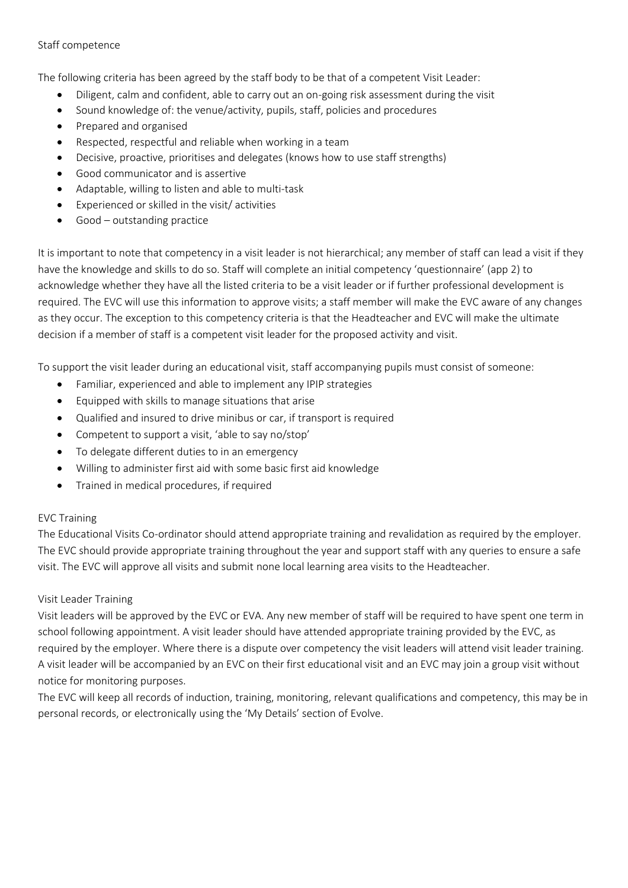#### Staff competence

The following criteria has been agreed by the staff body to be that of a competent Visit Leader:

- Diligent, calm and confident, able to carry out an on-going risk assessment during the visit
- Sound knowledge of: the venue/activity, pupils, staff, policies and procedures
- Prepared and organised
- Respected, respectful and reliable when working in a team
- Decisive, proactive, prioritises and delegates (knows how to use staff strengths)
- Good communicator and is assertive
- Adaptable, willing to listen and able to multi-task
- Experienced or skilled in the visit/ activities
- Good outstanding practice

It is important to note that competency in a visit leader is not hierarchical; any member of staff can lead a visit if they have the knowledge and skills to do so. Staff will complete an initial competency 'questionnaire' (app 2) to acknowledge whether they have all the listed criteria to be a visit leader or if further professional development is required. The EVC will use this information to approve visits; a staff member will make the EVC aware of any changes as they occur. The exception to this competency criteria is that the Headteacher and EVC will make the ultimate decision if a member of staff is a competent visit leader for the proposed activity and visit.

To support the visit leader during an educational visit, staff accompanying pupils must consist of someone:

- Familiar, experienced and able to implement any IPIP strategies
- Equipped with skills to manage situations that arise
- Qualified and insured to drive minibus or car, if transport is required
- Competent to support a visit, 'able to say no/stop'
- To delegate different duties to in an emergency
- Willing to administer first aid with some basic first aid knowledge
- Trained in medical procedures, if required

#### EVC Training

The Educational Visits Co-ordinator should attend appropriate training and revalidation as required by the employer. The EVC should provide appropriate training throughout the year and support staff with any queries to ensure a safe visit. The EVC will approve all visits and submit none local learning area visits to the Headteacher.

#### Visit Leader Training

Visit leaders will be approved by the EVC or EVA. Any new member of staff will be required to have spent one term in school following appointment. A visit leader should have attended appropriate training provided by the EVC, as required by the employer. Where there is a dispute over competency the visit leaders will attend visit leader training. A visit leader will be accompanied by an EVC on their first educational visit and an EVC may join a group visit without notice for monitoring purposes.

The EVC will keep all records of induction, training, monitoring, relevant qualifications and competency, this may be in personal records, or electronically using the 'My Details' section of Evolve.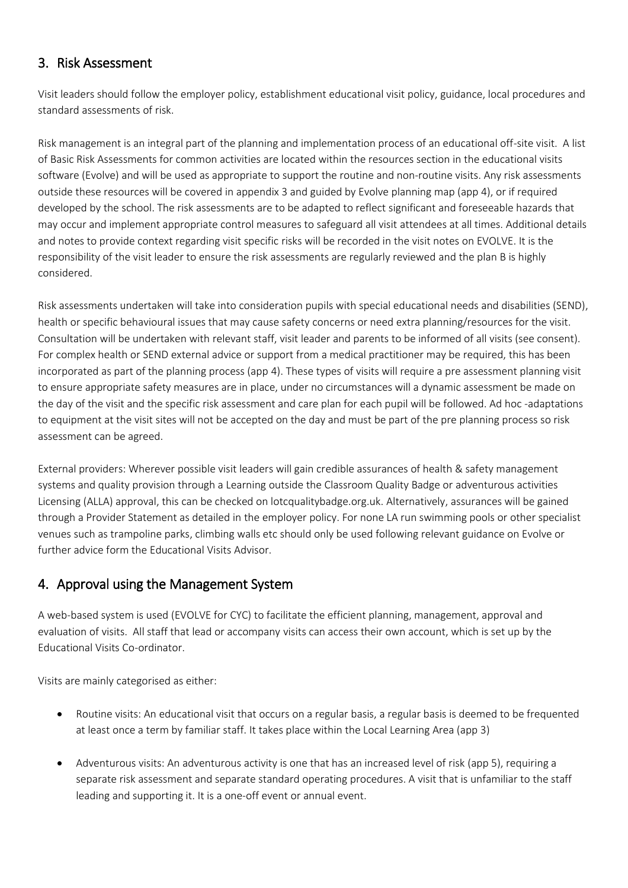### 3. Risk Assessment

Visit leaders should follow the employer policy, establishment educational visit policy, guidance, local procedures and standard assessments of risk.

Risk management is an integral part of the planning and implementation process of an educational off-site visit. A list of Basic Risk Assessments for common activities are located within the resources section in the educational visits software (Evolve) and will be used as appropriate to support the routine and non-routine visits. Any risk assessments outside these resources will be covered in appendix 3 and guided by Evolve planning map (app 4), or if required developed by the school. The risk assessments are to be adapted to reflect significant and foreseeable hazards that may occur and implement appropriate control measures to safeguard all visit attendees at all times. Additional details and notes to provide context regarding visit specific risks will be recorded in the visit notes on EVOLVE. It is the responsibility of the visit leader to ensure the risk assessments are regularly reviewed and the plan B is highly considered.

Risk assessments undertaken will take into consideration pupils with special educational needs and disabilities (SEND), health or specific behavioural issues that may cause safety concerns or need extra planning/resources for the visit. Consultation will be undertaken with relevant staff, visit leader and parents to be informed of all visits (see consent). For complex health or SEND external advice or support from a medical practitioner may be required, this has been incorporated as part of the planning process (app 4). These types of visits will require a pre assessment planning visit to ensure appropriate safety measures are in place, under no circumstances will a dynamic assessment be made on the day of the visit and the specific risk assessment and care plan for each pupil will be followed. Ad hoc -adaptations to equipment at the visit sites will not be accepted on the day and must be part of the pre planning process so risk assessment can be agreed.

External providers: Wherever possible visit leaders will gain credible assurances of health & safety management systems and quality provision through a Learning outside the Classroom Quality Badge or adventurous activities Licensing (ALLA) approval, this can be checked on lotcqualitybadge.org.uk. Alternatively, assurances will be gained through a Provider Statement as detailed in the employer policy. For none LA run swimming pools or other specialist venues such as trampoline parks, climbing walls etc should only be used following relevant guidance on Evolve or further advice form the Educational Visits Advisor.

### 4. Approval using the Management System

A web-based system is used (EVOLVE for CYC) to facilitate the efficient planning, management, approval and evaluation of visits. All staff that lead or accompany visits can access their own account, which is set up by the Educational Visits Co-ordinator.

Visits are mainly categorised as either:

- Routine visits: An educational visit that occurs on a regular basis, a regular basis is deemed to be frequented at least once a term by familiar staff. It takes place within the Local Learning Area (app 3)
- Adventurous visits: An adventurous activity is one that has an increased level of risk (app 5), requiring a separate risk assessment and separate standard operating procedures. A visit that is unfamiliar to the staff leading and supporting it. It is a one-off event or annual event.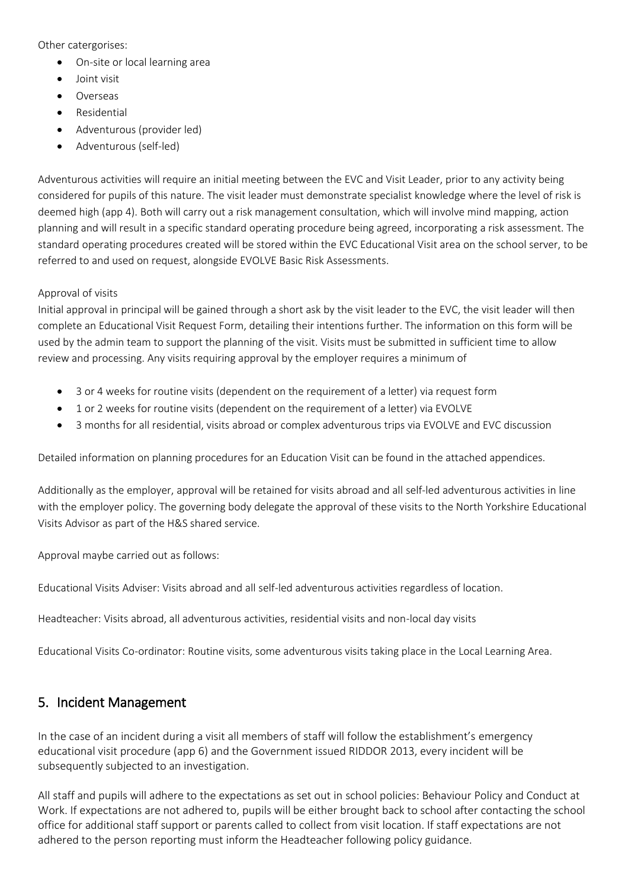Other catergorises:

- On-site or local learning area
- Joint visit
- Overseas
- Residential
- Adventurous (provider led)
- Adventurous (self-led)

Adventurous activities will require an initial meeting between the EVC and Visit Leader, prior to any activity being considered for pupils of this nature. The visit leader must demonstrate specialist knowledge where the level of risk is deemed high (app 4). Both will carry out a risk management consultation, which will involve mind mapping, action planning and will result in a specific standard operating procedure being agreed, incorporating a risk assessment. The standard operating procedures created will be stored within the EVC Educational Visit area on the school server, to be referred to and used on request, alongside EVOLVE Basic Risk Assessments.

#### Approval of visits

Initial approval in principal will be gained through a short ask by the visit leader to the EVC, the visit leader will then complete an Educational Visit Request Form, detailing their intentions further. The information on this form will be used by the admin team to support the planning of the visit. Visits must be submitted in sufficient time to allow review and processing. Any visits requiring approval by the employer requires a minimum of

- 3 or 4 weeks for routine visits (dependent on the requirement of a letter) via request form
- 1 or 2 weeks for routine visits (dependent on the requirement of a letter) via EVOLVE
- 3 months for all residential, visits abroad or complex adventurous trips via EVOLVE and EVC discussion

Detailed information on planning procedures for an Education Visit can be found in the attached appendices.

Additionally as the employer, approval will be retained for visits abroad and all self-led adventurous activities in line with the employer policy. The governing body delegate the approval of these visits to the North Yorkshire Educational Visits Advisor as part of the H&S shared service.

Approval maybe carried out as follows:

Educational Visits Adviser: Visits abroad and all self-led adventurous activities regardless of location.

Headteacher: Visits abroad, all adventurous activities, residential visits and non-local day visits

Educational Visits Co-ordinator: Routine visits, some adventurous visits taking place in the Local Learning Area.

#### 5. Incident Management

In the case of an incident during a visit all members of staff will follow the establishment's emergency educational visit procedure (app 6) and the Government issued RIDDOR 2013, every incident will be subsequently subjected to an investigation.

All staff and pupils will adhere to the expectations as set out in school policies: Behaviour Policy and Conduct at Work. If expectations are not adhered to, pupils will be either brought back to school after contacting the school office for additional staff support or parents called to collect from visit location. If staff expectations are not adhered to the person reporting must inform the Headteacher following policy guidance.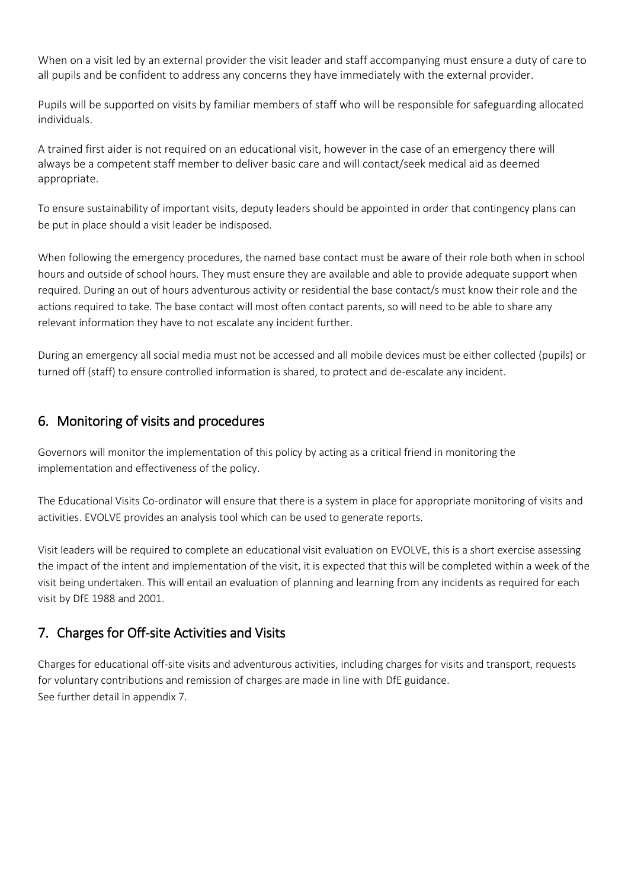When on a visit led by an external provider the visit leader and staff accompanying must ensure a duty of care to all pupils and be confident to address any concerns they have immediately with the external provider.

Pupils will be supported on visits by familiar members of staff who will be responsible for safeguarding allocated individuals.

A trained first aider is not required on an educational visit, however in the case of an emergency there will always be a competent staff member to deliver basic care and will contact/seek medical aid as deemed appropriate.

To ensure sustainability of important visits, deputy leaders should be appointed in order that contingency plans can be put in place should a visit leader be indisposed.

When following the emergency procedures, the named base contact must be aware of their role both when in school hours and outside of school hours. They must ensure they are available and able to provide adequate support when required. During an out of hours adventurous activity or residential the base contact/s must know their role and the actions required to take. The base contact will most often contact parents, so will need to be able to share any relevant information they have to not escalate any incident further.

During an emergency all social media must not be accessed and all mobile devices must be either collected (pupils) or turned off (staff) to ensure controlled information is shared, to protect and de-escalate any incident.

### 6. Monitoring of visits and procedures

Governors will monitor the implementation of this policy by acting as a critical friend in monitoring the implementation and effectiveness of the policy.

The Educational Visits Co-ordinator will ensure that there is a system in place for appropriate monitoring of visits and activities. EVOLVE provides an analysis tool which can be used to generate reports.

Visit leaders will be required to complete an educational visit evaluation on EVOLVE, this is a short exercise assessing the impact of the intent and implementation of the visit, it is expected that this will be completed within a week of the visit being undertaken. This will entail an evaluation of planning and learning from any incidents as required for each visit by DfE 1988 and 2001.

### 7. Charges for Off-site Activities and Visits

Charges for educational off-site visits and adventurous activities, including charges for visits and transport, requests for voluntary contributions and remission of charges are made in line with DfE guidance. See further detail in appendix 7.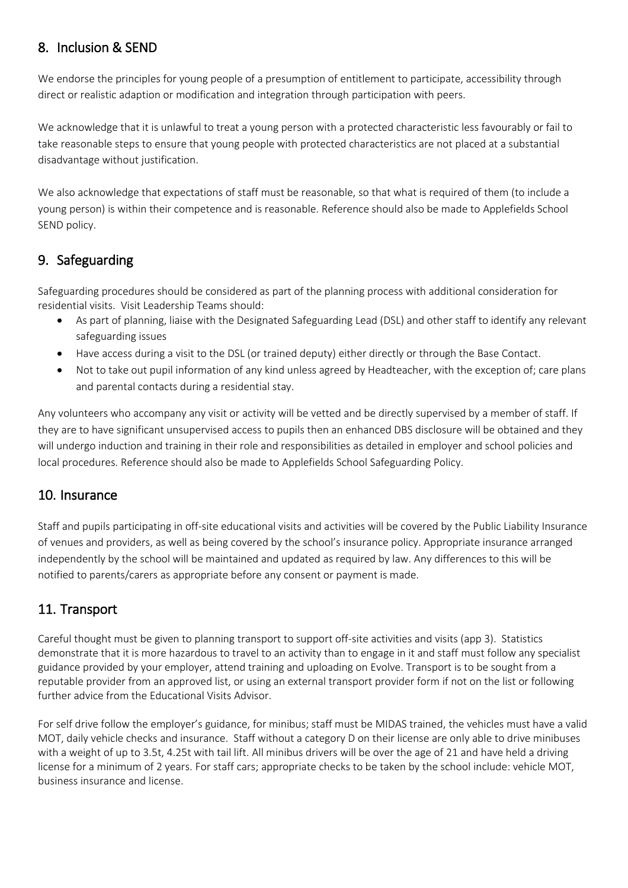# 8. Inclusion & SEND

We endorse the principles for young people of a presumption of entitlement to participate, accessibility through direct or realistic adaption or modification and integration through participation with peers.

We acknowledge that it is unlawful to treat a young person with a protected characteristic less favourably or fail to take reasonable steps to ensure that young people with protected characteristics are not placed at a substantial disadvantage without justification.

We also acknowledge that expectations of staff must be reasonable, so that what is required of them (to include a young person) is within their competence and is reasonable. Reference should also be made to Applefields School SEND policy.

# 9. Safeguarding

Safeguarding procedures should be considered as part of the planning process with additional consideration for residential visits. Visit Leadership Teams should:

- As part of planning, liaise with the Designated Safeguarding Lead (DSL) and other staff to identify any relevant safeguarding issues
- Have access during a visit to the DSL (or trained deputy) either directly or through the Base Contact.
- Not to take out pupil information of any kind unless agreed by Headteacher, with the exception of; care plans and parental contacts during a residential stay.

Any volunteers who accompany any visit or activity will be vetted and be directly supervised by a member of staff. If they are to have significant unsupervised access to pupils then an enhanced DBS disclosure will be obtained and they will undergo induction and training in their role and responsibilities as detailed in employer and school policies and local procedures. Reference should also be made to Applefields School Safeguarding Policy.

### 10. Insurance

Staff and pupils participating in off-site educational visits and activities will be covered by the Public Liability Insurance of venues and providers, as well as being covered by the school's insurance policy. Appropriate insurance arranged independently by the school will be maintained and updated as required by law. Any differences to this will be notified to parents/carers as appropriate before any consent or payment is made.

# 11. Transport

Careful thought must be given to planning transport to support off-site activities and visits (app 3). Statistics demonstrate that it is more hazardous to travel to an activity than to engage in it and staff must follow any specialist guidance provided by your employer, attend training and uploading on Evolve. Transport is to be sought from a reputable provider from an approved list, or using an external transport provider form if not on the list or following further advice from the Educational Visits Advisor.

For self drive follow the employer's guidance, for minibus; staff must be MIDAS trained, the vehicles must have a valid MOT, daily vehicle checks and insurance. Staff without a category D on their license are only able to drive minibuses with a weight of up to 3.5t, 4.25t with tail lift. All minibus drivers will be over the age of 21 and have held a driving license for a minimum of 2 years. For staff cars; appropriate checks to be taken by the school include: vehicle MOT, business insurance and license.